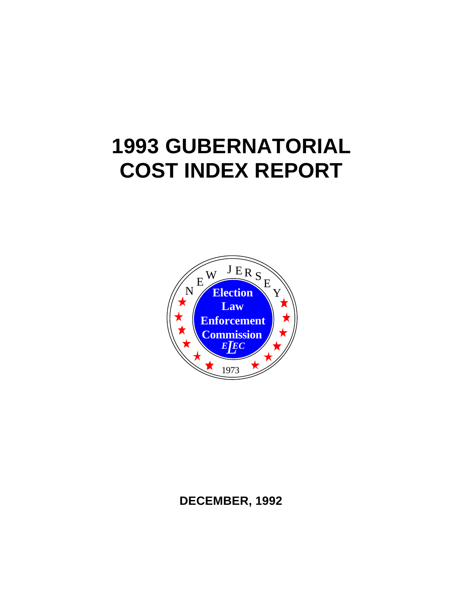# **1993 GUBERNATORIAL COST INDEX REPORT**



# **DECEMBER, 1992**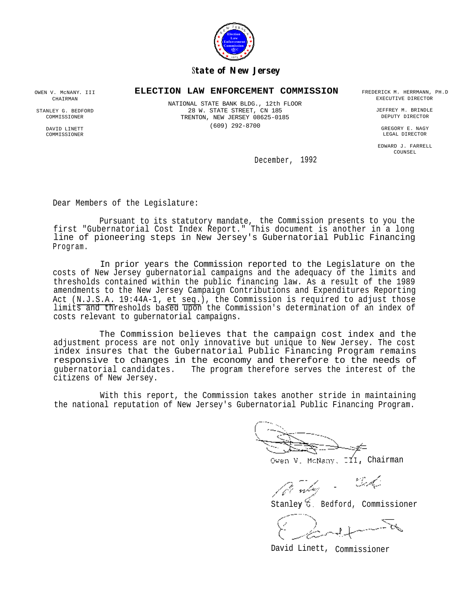

## S*tate of New Jersey*

# **ELECTION LAW ENFORCEMENT COMMISSION** FREDERICK M. HERRMANN, PH.D NATIONAL STATE BANK BLDG., 12th FLOOR

28 W. STATE STREET, CN 185 TRENTON, NEW JERSEY 08625-0185 (609) 292-8700

EXECUTIVE DIRECTOR

JEFFREY M. BRINDLE DEPUTY DIRECTOR

GREGORY E. NAGY LEGAL DIRECTOR

EDWARD J. FARRELL COUNSEL

December, 1992

Dear Members of the Legislature:

Pursuant to its statutory mandate, the Commission presents to you the first "Gubernatorial Cost Index Report." This document is another in a long line of pioneering steps in New Jersey's Gubernatorial Public Financing Program.

In prior years the Commission reported to the Legislature on the costs of New Jersey gubernatorial campaigns and the adequacy of the limits and thresholds contained within the public financing law. As a result of the 1989 amendments to the New Jersey Campaign Contributions and Expenditures Reporting Act (N.J.S.A. 19:44A-1, et seq.), the Commission is required to adjust those limits and thresholds based upon the Commission's determination of an index of costs relevant to gubernatorial campaigns.

The Commission believes that the campaign cost index and the adjustment process are not only innovative but unique to New Jersey. The cost index insures that the Gubernatorial Public Financing Program remains responsive to changes in the economy and therefore to the needs of gubernatorial candidates. The program therefore serves the interest of the citizens of New Jersey.

With this report, the Commission takes another stride in maintaining the national reputation of New Jersey's Gubernatorial Public Financing Program.

Owen V. McNany, III, Chairman

- Certa -

Stanley G. Bedford, Commissioner

\_

\_ David Linett, Commissioner

OWEN V. McNANY. III CHAIRMAN

STANLEY G. BEDFORD **COMMISSIONER** 

> DAVID LINETT COMMISSIONER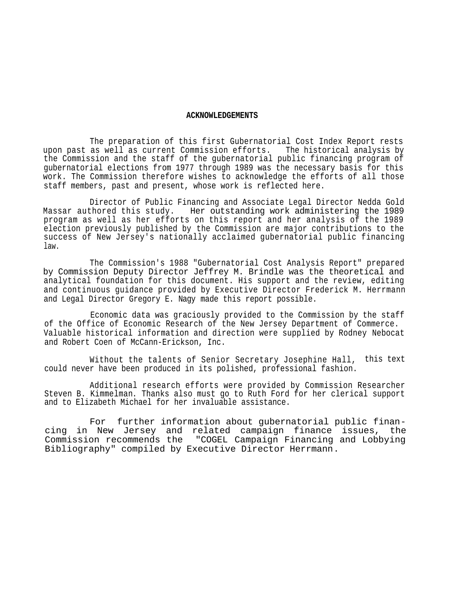#### **ACKNOWLEDGEMENTS**

The preparation of this first Gubernatorial Cost Index Report rests upon past as well as current Commission efforts. The historical analysis by the Commission and the staff of the gubernatorial public financing program of gubernatorial elections from 1977 through 1989 was the necessary basis for this work. The Commission therefore wishes to acknowledge the efforts of all those staff members, past and present, whose work is reflected here.

Director of Public Financing and Associate Legal Director Nedda Gold Massar authored this study. Her outstanding work administering the 1989 program as well as her efforts on this report and her analysis of the 1989 election previously published by the Commission are major contributions to the success of New Jersey's nationally acclaimed gubernatorial public financing law.

The Commission's 1988 "Gubernatorial Cost Analysis Report" prepared by Commission Deputy Director Jeffrey M. Brindle was the theoretical and analytical foundation for this document. His support and the review, editing and continuous guidance provided by Executive Director Frederick M. Herrmann and Legal Director Gregory E. Nagy made this report possible.

Economic data was graciously provided to the Commission by the staff of the Office of Economic Research of the New Jersey Department of Commerce. Valuable historical information and direction were supplied by Rodney Nebocat and Robert Coen of McCann-Erickson, Inc.

Without the talents of Senior Secretary Josephine Hall, this text could never have been produced in its polished, professional fashion.

Additional research efforts were provided by Commission Researcher Steven B. Kimmelman. Thanks also must go to Ruth Ford for her clerical support and to Elizabeth Michael for her invaluable assistance.

 For further information about gubernatorial public financing in New Jersey and related campaign finance issues, the Commission recommends the "COGEL Campaign Financing and Lobbying Bibliography" compiled by Executive Director Herrmann.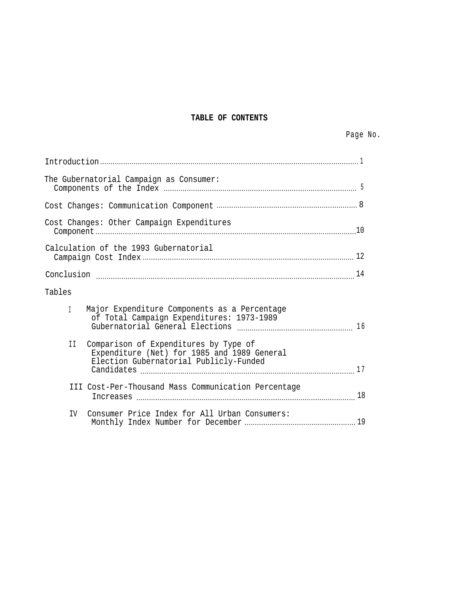# **TABLE OF CONTENTS**

|              | The Gubernatorial Campaign as Consumer:                                                                                        |  |  |  |  |  |  |  |
|--------------|--------------------------------------------------------------------------------------------------------------------------------|--|--|--|--|--|--|--|
|              |                                                                                                                                |  |  |  |  |  |  |  |
|              | Cost Changes: Other Campaign Expenditures                                                                                      |  |  |  |  |  |  |  |
|              | Calculation of the 1993 Gubernatorial                                                                                          |  |  |  |  |  |  |  |
|              |                                                                                                                                |  |  |  |  |  |  |  |
| Tables       |                                                                                                                                |  |  |  |  |  |  |  |
| $\mathbb{L}$ | Major Expenditure Components as a Percentage<br>of Total Campaign Expenditures: 1973-1989                                      |  |  |  |  |  |  |  |
| II           | Comparison of Expenditures by Type of<br>Expenditure (Net) for 1985 and 1989 General<br>Election Gubernatorial Publicly-Funded |  |  |  |  |  |  |  |
|              | III Cost-Per-Thousand Mass Communication Percentage                                                                            |  |  |  |  |  |  |  |
| IV           | Consumer Price Index for All Urban Consumers:                                                                                  |  |  |  |  |  |  |  |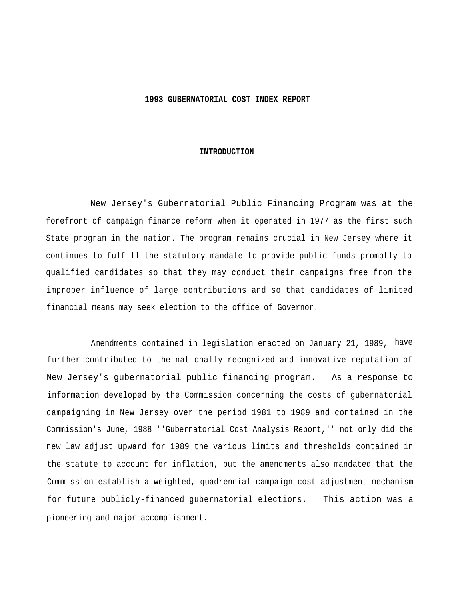#### **1993 GUBERNATORIAL COST INDEX REPORT**

#### **INTRODUCTION**

New Jersey's Gubernatorial Public Financing Program was at the forefront of campaign finance reform when it operated in 1977 as the first such State program in the nation. The program remains crucial in New Jersey where it continues to fulfill the statutory mandate to provide public funds promptly to qualified candidates so that they may conduct their campaigns free from the improper influence of large contributions and so that candidates of limited financial means may seek election to the office of Governor.

Amendments contained in legislation enacted on January 21, 1989, have further contributed to the nationally-recognized and innovative reputation of New Jersey's gubernatorial public financing program. As a response to information developed by the Commission concerning the costs of gubernatorial campaigning in New Jersey over the period 1981 to 1989 and contained in the Commission's June, 1988 ''Gubernatorial Cost Analysis Report,'' not only did the new law adjust upward for 1989 the various limits and thresholds contained in the statute to account for inflation, but the amendments also mandated that the Commission establish a weighted, quadrennial campaign cost adjustment mechanism for future publicly-financed gubernatorial elections. This action was a pioneering and major accomplishment.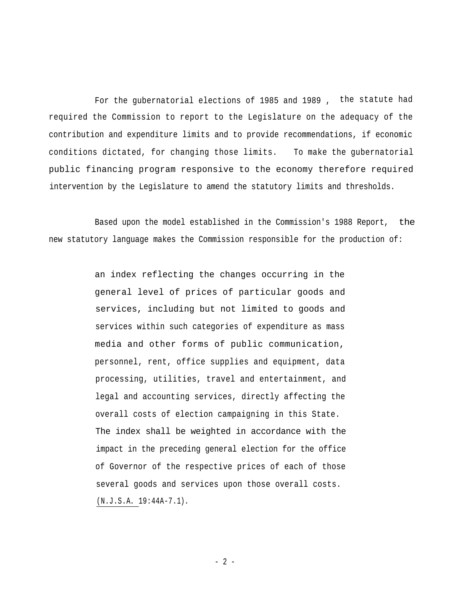For the gubernatorial elections of 1985 and 1989 , the statute had required the Commission to report to the Legislature on the adequacy of the contribution and expenditure limits and to provide recommendations, if economic conditions dictated, for changing those limits. To make the gubernatorial public financing program responsive to the economy therefore required intervention by the Legislature to amend the statutory limits and thresholds.

Based upon the model established in the Commission's 1988 Report, the new statutory language makes the Commission responsible for the production of:

> an index reflecting the changes occurring in the general level of prices of particular goods and services, including but not limited to goods and services within such categories of expenditure as mass media and other forms of public communication, personnel, rent, office supplies and equipment, data processing, utilities, travel and entertainment, and legal and accounting services, directly affecting the overall costs of election campaigning in this State. The index shall be weighted in accordance with the impact in the preceding general election for the office of Governor of the respective prices of each of those several goods and services upon those overall costs. (N.J.S.A. 19:44A-7.1).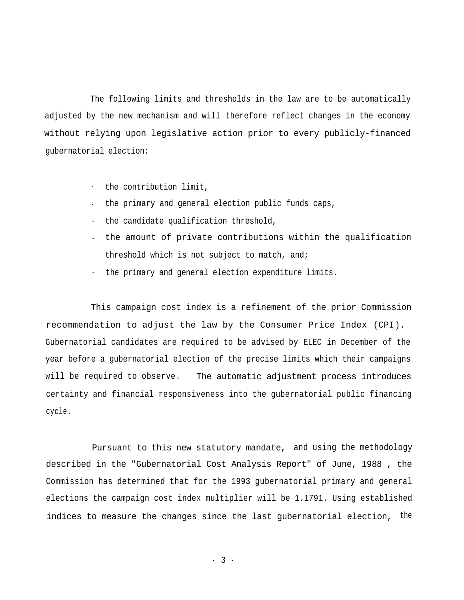The following limits and thresholds in the law are to be automatically adjusted by the new mechanism and will therefore reflect changes in the economy without relying upon legislative action prior to every publicly-financed gubernatorial election:

- the contribution limit,
- the primary and general election public funds caps,
- the candidate qualification threshold,
- the amount of private contributions within the qualification threshold which is not subject to match, and;
- the primary and general election expenditure limits.

This campaign cost index is a refinement of the prior Commission recommendation to adjust the law by the Consumer Price Index (CPI). Gubernatorial candidates are required to be advised by ELEC in December of the year before a gubernatorial election of the precise limits which their campaigns will be required to observe. The automatic adjustment process introduces certainty and financial responsiveness into the gubernatorial public financing cycle.

Pursuant to this new statutory mandate, and using the methodology described in the "Gubernatorial Cost Analysis Report" of June, 1988 , the Commission has determined that for the 1993 gubernatorial primary and general elections the campaign cost index multiplier will be 1.1791. Using established indices to measure the changes since the last gubernatorial election, the

- 3 -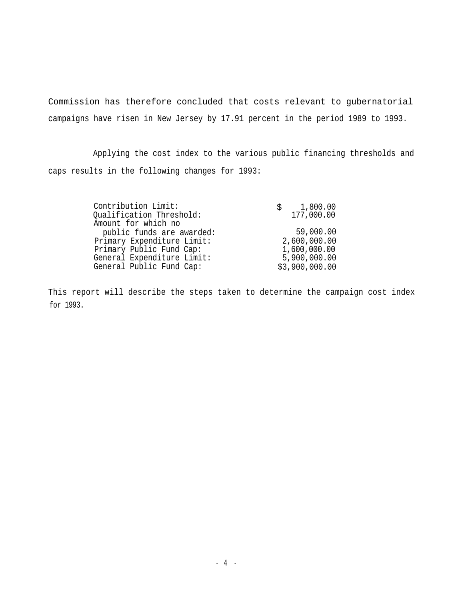Commission has therefore concluded that costs relevant to gubernatorial campaigns have risen in New Jersey by 17.91 percent in the period 1989 to 1993.

Applying the cost index to the various public financing thresholds and caps results in the following changes for 1993:

| Contribution Limit:<br>Qualification Threshold: | \$1,800.00<br>177,000.00 |
|-------------------------------------------------|--------------------------|
|                                                 |                          |
| Amount for which no                             |                          |
| public funds are awarded:                       | 59,000.00                |
| Primary Expenditure Limit:                      | 2,600,000.00             |
| Primary Public Fund Cap:                        | 1,600,000.00             |
| General Expenditure Limit:                      | 5,900,000.00             |
| General Public Fund Cap:                        | \$3,900,000.00           |

This report will describe the steps taken to determine the campaign cost index for 1993.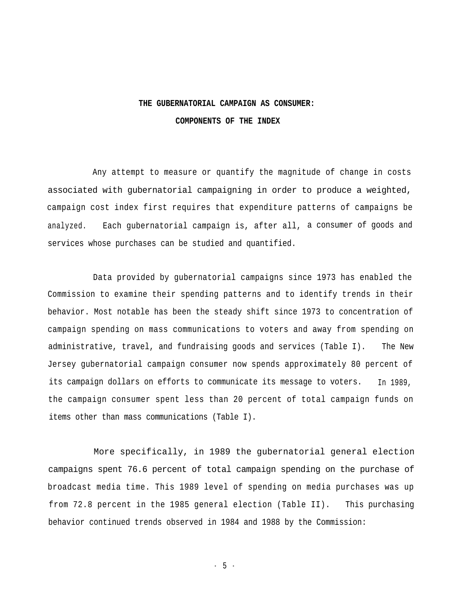# **THE GUBERNATORIAL CAMPAIGN AS CONSUMER: COMPONENTS OF THE INDEX**

Any attempt to measure or quantify the magnitude of change in costs associated with gubernatorial campaigning in order to produce a weighted, campaign cost index first requires that expenditure patterns of campaigns be analyzed. Each gubernatorial campaign is, after all, a consumer of goods and services whose purchases can be studied and quantified.

Data provided by gubernatorial campaigns since 1973 has enabled the Commission to examine their spending patterns and to identify trends in their behavior. Most notable has been the steady shift since 1973 to concentration of campaign spending on mass communications to voters and away from spending on administrative, travel, and fundraising goods and services (Table I). The New Jersey gubernatorial campaign consumer now spends approximately 80 percent of its campaign dollars on efforts to communicate its message to voters. In 1989, the campaign consumer spent less than 20 percent of total campaign funds on items other than mass communications (Table I).

More specifically, in 1989 the gubernatorial general election campaigns spent 76.6 percent of total campaign spending on the purchase of broadcast media time. This 1989 level of spending on media purchases was up from 72.8 percent in the 1985 general election (Table II). This purchasing behavior continued trends observed in 1984 and 1988 by the Commission:

- 5 -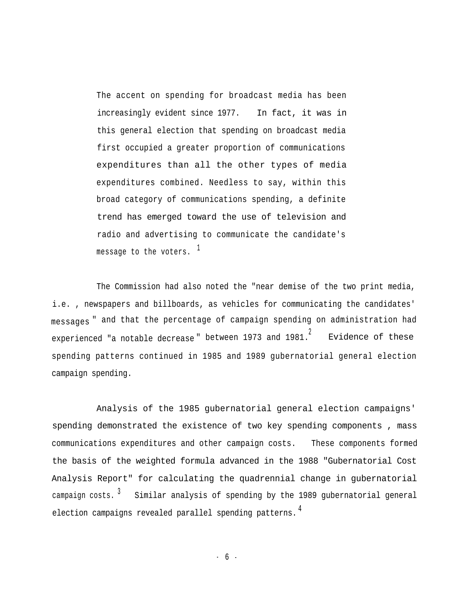The accent on spending for broadcast media has been increasingly evident since 1977. In fact, it was in this general election that spending on broadcast media first occupied a greater proportion of communications expenditures than all the other types of media expenditures combined. Needless to say, within this broad category of communications spending, a definite trend has emerged toward the use of television and radio and advertising to communicate the candidate's message to the voters.  $1$ 

The Commission had also noted the "near demise of the two print media, i.e. , newspapers and billboards, as vehicles for communicating the candidates' messages " and that the percentage of campaign spending on administration had experienced "a notable decrease" between 1973 and 1981. Evidence of these spending patterns continued in 1985 and 1989 gubernatorial general election campaign spending.

Analysis of the 1985 gubernatorial general election campaigns' spending demonstrated the existence of two key spending components , mass communications expenditures and other campaign costs. These components formed the basis of the weighted formula advanced in the 1988 "Gubernatorial Cost Analysis Report" for calculating the quadrennial change in gubernatorial campaign costs.  $3$  Similar analysis of spending by the 1989 gubernatorial general election campaigns revealed parallel spending patterns.<sup>4</sup>

- 6 -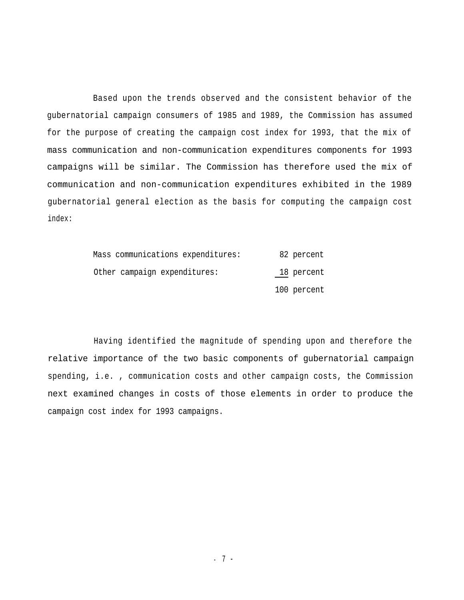Based upon the trends observed and the consistent behavior of the gubernatorial campaign consumers of 1985 and 1989, the Commission has assumed for the purpose of creating the campaign cost index for 1993, that the mix of mass communication and non-communication expenditures components for 1993 campaigns will be similar. The Commission has therefore used the mix of communication and non-communication expenditures exhibited in the 1989 gubernatorial general election as the basis for computing the campaign cost index:

| Mass communications expenditures: | 82 percent  |
|-----------------------------------|-------------|
| Other campaign expenditures:      | 18 percent  |
|                                   | 100 percent |

Having identified the magnitude of spending upon and therefore the relative importance of the two basic components of gubernatorial campaign spending, i.e. , communication costs and other campaign costs, the Commission next examined changes in costs of those elements in order to produce the campaign cost index for 1993 campaigns.

- 7 -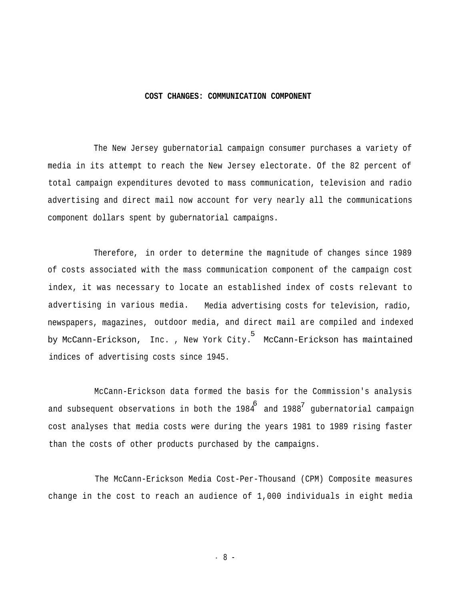#### **COST CHANGES: COMMUNICATION COMPONENT**

The New Jersey gubernatorial campaign consumer purchases a variety of media in its attempt to reach the New Jersey electorate. Of the 82 percent of total campaign expenditures devoted to mass communication, television and radio advertising and direct mail now account for very nearly all the communications component dollars spent by gubernatorial campaigns.

Therefore, in order to determine the magnitude of changes since 1989 of costs associated with the mass communication component of the campaign cost index, it was necessary to locate an established index of costs relevant to advertising in various media. Media advertising costs for television, radio, newspapers, magazines, outdoor media, and direct mail are compiled and indexed by McCann-Erickson, Inc. , New York City. McCann-Erickson has maintained 5 indices of advertising costs since 1945.

McCann-Erickson data formed the basis for the Commission's analysis and subsequent observations in both the 1984  $\ ^{6}$  and 1988 $^7$  gubernatorial campaign cost analyses that media costs were during the years 1981 to 1989 rising faster than the costs of other products purchased by the campaigns.

The McCann-Erickson Media Cost-Per-Thousand (CPM) Composite measures change in the cost to reach an audience of 1,000 individuals in eight media

- 8 -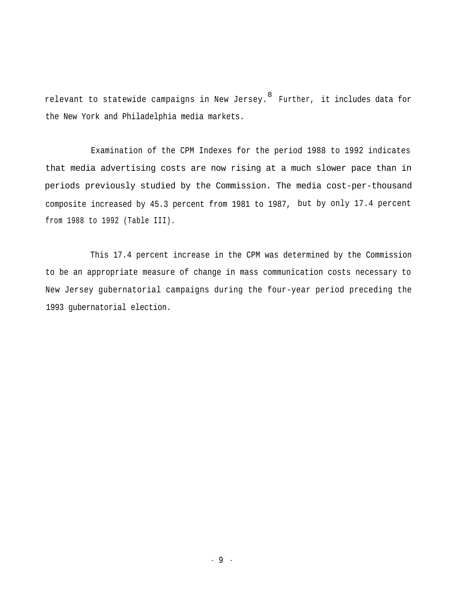relevant to statewide campaigns in New Jersey. $^{\rm 8}$  Further, it includes data for the New York and Philadelphia media markets.

Examination of the CPM Indexes for the period 1988 to 1992 indicates that media advertising costs are now rising at a much slower pace than in periods previously studied by the Commission. The media cost-per-thousand composite increased by 45.3 percent from 1981 to 1987, but by only 17.4 percent from 1988 to 1992 (Table III).

This 17.4 percent increase in the CPM was determined by the Commission to be an appropriate measure of change in mass communication costs necessary to New Jersey gubernatorial campaigns during the four-year period preceding the 1993 gubernatorial election.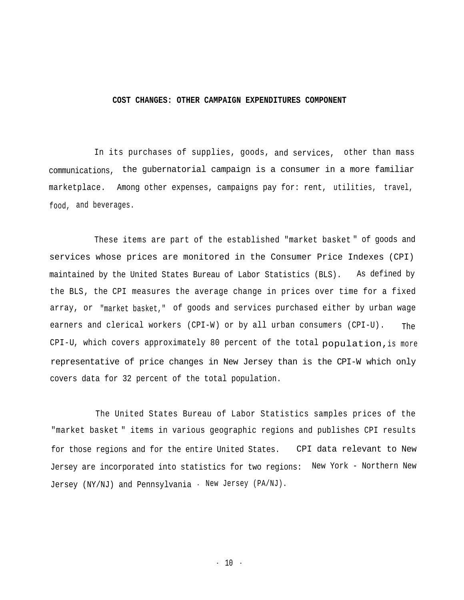#### **COST CHANGES: OTHER CAMPAIGN EXPENDITURES COMPONENT**

In its purchases of supplies, goods, and services, other than mass communications, the gubernatorial campaign is a consumer in a more familiar marketplace. Among other expenses, campaigns pay for: rent, utilities, travel, food, and beverages.

These items are part of the established "market basket " of goods and services whose prices are monitored in the Consumer Price Indexes (CPI) maintained by the United States Bureau of Labor Statistics (BLS). As defined by the BLS, the CPI measures the average change in prices over time for a fixed array, or "market basket," of goods and services purchased either by urban wage earners and clerical workers (CPI-W) or by all urban consumers (CPI-U). CPI-U, which covers approximately 80 percent of the total population,is more The representative of price changes in New Jersey than is the CPI-W which only covers data for 32 percent of the total population.

The United States Bureau of Labor Statistics samples prices of the "market basket " items in various geographic regions and publishes CPI results for those regions and for the entire United States. CPI data relevant to New Jersey are incorporated into statistics for two regions: New York - Northern New Jersey (NY/NJ) and Pennsylvania - New Jersey (PA/NJ).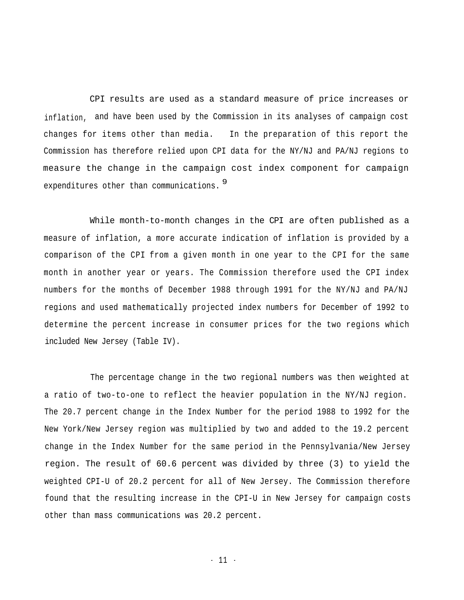CPI results are used as a standard measure of price increases or inflation, and have been used by the Commission in its analyses of campaign cost changes for items other than media. In the preparation of this report the Commission has therefore relied upon CPI data for the NY/NJ and PA/NJ regions to measure the change in the campaign cost index component for campaign expenditures other than communications. <sup>9</sup>

While month-to-month changes in the CPI are often published as a measure of inflation, a more accurate indication of inflation is provided by a comparison of the CPI from a given month in one year to the CPI for the same month in another year or years. The Commission therefore used the CPI index numbers for the months of December 1988 through 1991 for the NY/NJ and PA/NJ regions and used mathematically projected index numbers for December of 1992 to determine the percent increase in consumer prices for the two regions which included New Jersey (Table IV).

The percentage change in the two regional numbers was then weighted at a ratio of two-to-one to reflect the heavier population in the NY/NJ region. The 20.7 percent change in the Index Number for the period 1988 to 1992 for the New York/New Jersey region was multiplied by two and added to the 19.2 percent change in the Index Number for the same period in the Pennsylvania/New Jersey region. The result of 60.6 percent was divided by three (3) to yield the weighted CPI-U of 20.2 percent for all of New Jersey. The Commission therefore found that the resulting increase in the CPI-U in New Jersey for campaign costs other than mass communications was 20.2 percent.

- 11 -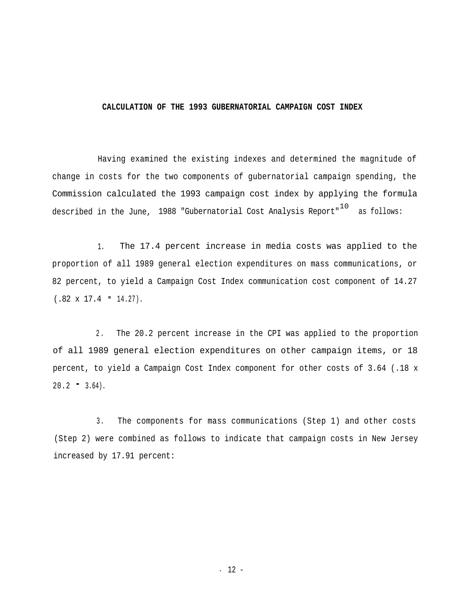#### **CALCULATION OF THE 1993 GUBERNATORIAL CAMPAIGN COST INDEX**

Having examined the existing indexes and determined the magnitude of change in costs for the two components of gubernatorial campaign spending, the Commission calculated the 1993 campaign cost index by applying the formula described in the June, 1988 "Gubernatorial Cost Analysis Report" $^{\rm 10}$  as follows:

1. The 17.4 percent increase in media costs was applied to the proportion of all 1989 general election expenditures on mass communications, or 82 percent, to yield a Campaign Cost Index communication cost component of 14.27  $(.82 \times 17.4 = 14.27).$ 

2 . The 20.2 percent increase in the CPI was applied to the proportion of all 1989 general election expenditures on other campaign items, or 18 percent, to yield a Campaign Cost Index component for other costs of 3.64 (.18 x  $20.2 - 3.64$ .

3. The components for mass communications (Step 1) and other costs (Step 2) were combined as follows to indicate that campaign costs in New Jersey increased by 17.91 percent: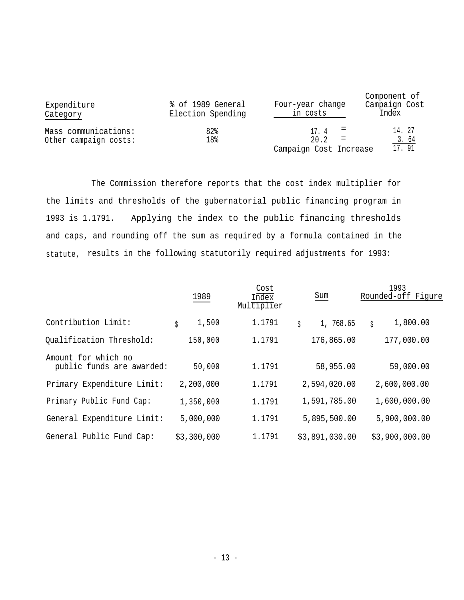| Expenditure<br>Category                       | % of 1989 General<br>Election Spending | Four-year change<br>in costs | Component of<br>Campaign Cost<br>Index |
|-----------------------------------------------|----------------------------------------|------------------------------|----------------------------------------|
| Mass communications:<br>Other campaign costs: | 82%<br>18%                             | 17.4<br>20.2<br>$=$          | 14.27<br>3.64                          |
|                                               |                                        | Campaign Cost Increase       | 17.91                                  |

The Commission therefore reports that the cost index multiplier for the limits and thresholds of the gubernatorial public financing program in 1993 is 1.1791. Applying the index to the public financing thresholds and caps, and rounding off the sum as required by a formula contained in the statute, results in the following statutorily required adjustments for 1993:

|                                                  |             | Cost                |                 | 1993               |
|--------------------------------------------------|-------------|---------------------|-----------------|--------------------|
|                                                  | 1989        | Index<br>Multiplier | Sum             | Rounded-off Figure |
| Contribution Limit:                              | 1,500<br>\$ | 1.1791              | 1, 768.65<br>\$ | 1,800.00<br>Ś      |
| Qualification Threshold:                         | 150,000     | 1.1791              | 176,865.00      | 177,000.00         |
| Amount for which no<br>public funds are awarded: | 50,000      | 1.1791              | 58,955.00       | 59,000.00          |
| Primary Expenditure Limit:                       | 2,200,000   | 1.1791              | 2,594,020.00    | 2,600,000.00       |
| Primary Public Fund Cap:                         | 1,350,000   | 1.1791              | 1,591,785.00    | 1,600,000.00       |
| General Expenditure Limit:                       | 5,000,000   | 1.1791              | 5,895,500.00    | 5,900,000.00       |
| General Public Fund Cap:                         | \$3,300,000 | 1.1791              | \$3,891,030.00  | \$3,900,000.00     |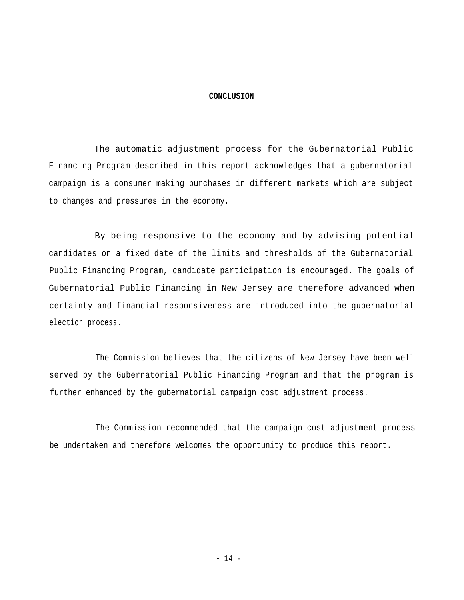#### **CONCLUSION**

The automatic adjustment process for the Gubernatorial Public Financing Program described in this report acknowledges that a gubernatorial campaign is a consumer making purchases in different markets which are subject to changes and pressures in the economy.

By being responsive to the economy and by advising potential candidates on a fixed date of the limits and thresholds of the Gubernatorial Public Financing Program, candidate participation is encouraged. The goals of Gubernatorial Public Financing in New Jersey are therefore advanced when certainty and financial responsiveness are introduced into the gubernatorial election process.

The Commission believes that the citizens of New Jersey have been well served by the Gubernatorial Public Financing Program and that the program is further enhanced by the gubernatorial campaign cost adjustment process.

The Commission recommended that the campaign cost adjustment process be undertaken and therefore welcomes the opportunity to produce this report.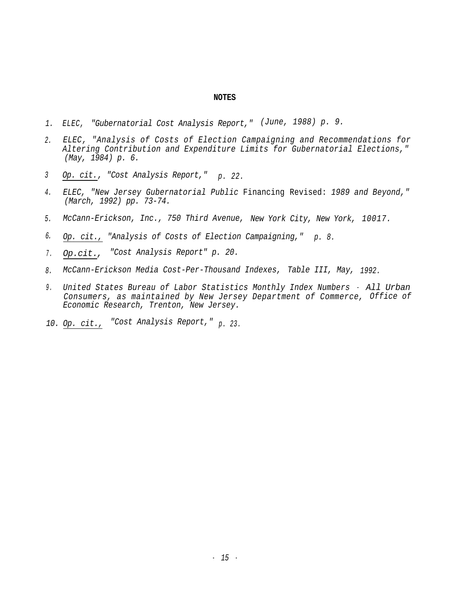#### **NOTES**

- *1. ELEC, "Gubernatorial Cost Analysis Report," (June, 1988) p. 9.*
- *ELEC, "Analysis of Costs of Election Campaigning and Recommendations for 2. Altering Contribution and Expenditure Limits for Gubernatorial Elections," (May, 1984) p. 6.*
- *<sup>3</sup> Op. cit., "Cost Analysis Report," p. 22.*
- *ELEC, "New Jersey Gubernatorial Public* Financing Revised: *1989 and Beyond," 4. (March, 1992) pp. 73-74.*
- *5. McCann-Erickson, Inc., 750 Third Avenue, New York City, New York, 10017.*
- *6. Op. cit., "Analysis of Costs of Election Campaigning," p. 8.*
- *7 . Op.cit., "Cost Analysis Report" p. 20.*
- *8. McCann-Erickson Media Cost-Per-Thousand Indexes, Table III, May, 1992.*
- *9 . United States Bureau of Labor Statistics Monthly Index Numbers All Urban Consumers, as maintained by New Jersey Department of Commerce, Office of Economic Research, Trenton, New Jersey.*
- *10. Op. cit., "Cost Analysis Report," p. 23.*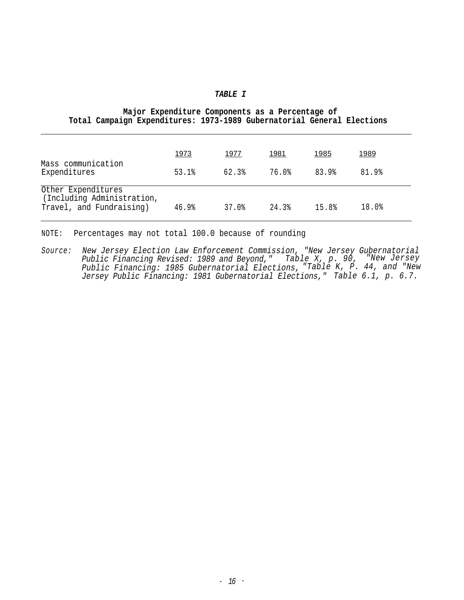#### *TABLE I*

|  | Major Expenditure Components as a Percentage of |  |  |                                                                        |
|--|-------------------------------------------------|--|--|------------------------------------------------------------------------|
|  |                                                 |  |  | Total Campaign Expenditures: 1973-1989 Gubernatorial General Elections |

| Mass communication                                                           | 1973  | <u> 1977 </u> | <u> 1981</u> | <u> 1985</u> | 1989  |
|------------------------------------------------------------------------------|-------|---------------|--------------|--------------|-------|
| Expenditures                                                                 | 53.1% | 62.3%         | 76.0%        | 83.9%        | 81.9% |
| Other Expenditures<br>(Including Administration,<br>Travel, and Fundraising) | 46.9% | 37.0%         | 24.3%        | 15.8%        | 18.0% |

NOTE: Percentages may not total 100.0 because of rounding

*Source: New Jersey Election Law Enforcement Commission, "New Jersey Gubernatorial Public Financing Revised: 1989 and Beyond," Table X, p. 90, "New Jersey Public Financing: 1985 Gubernatorial Elections, Jersey Public Financing: 1981 Gubernatorial Elections," "Table K, P. 44, and "New Table 6.1, p. 6.7.*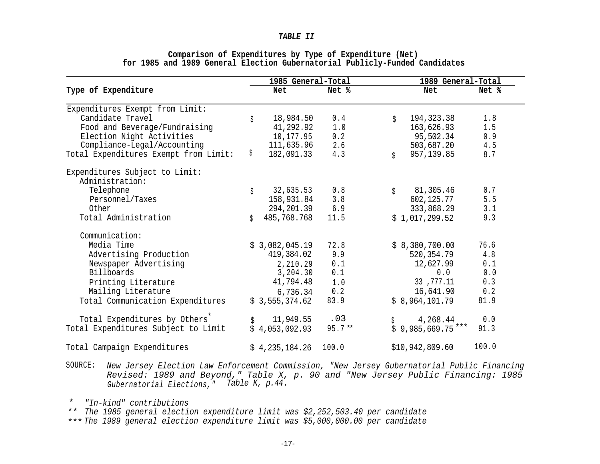#### *TABLE II*

|                                                   |    | 1985 General-Total |           | 1989 General-Total        |       |  |
|---------------------------------------------------|----|--------------------|-----------|---------------------------|-------|--|
| Type of Expenditure                               |    | Net                | Net %     | Net                       | Net % |  |
| Expenditures Exempt from Limit:                   |    |                    |           |                           |       |  |
| Candidate Travel                                  | \$ | 18,984.50          | 0.4       | 194, 323.38<br>$\ddot{S}$ | 1.8   |  |
| Food and Beverage/Fundraising                     |    | 41,292.92          | 1.0       | 163,626.93                | 1.5   |  |
| Election Night Activities                         |    | 10,177.95          | 0.2       | 95,502.34                 | 0.9   |  |
| Compliance-Legal/Accounting                       |    | 111,635.96         | 2.6       | 503,687.20                | 4.5   |  |
| Total Expenditures Exempt from Limit:             | \$ | 182,091.33         | 4.3       | 957,139.85<br>$\ddot{S}$  | 8.7   |  |
| Expenditures Subject to Limit:<br>Administration: |    |                    |           |                           |       |  |
| Telephone                                         |    | 32,635.53          | 0.8       | 81,305.46                 | 0.7   |  |
| Personnel/Taxes                                   | \$ | 158,931.84 3.8     |           | Ś.<br>602,125.77          | 5.5   |  |
| Other                                             |    | 294,201.39 6.9     |           | 333,868.29                | 3.1   |  |
| Total Administration                              |    | 485,768.768        | 11.5      |                           | 9.3   |  |
|                                                   | \$ |                    |           | \$1,017,299.52            |       |  |
| Communication:                                    |    |                    |           |                           |       |  |
| Media Time                                        |    | \$3,082,045.19     | 72.8      | \$8,380,700.00            | 76.6  |  |
| Advertising Production                            |    | 419,384.02         | 9.9       | 520,354.79                | 4.8   |  |
| Newspaper Advertising                             |    | 2,210.29           | 0.1       | 12,627.99                 | 0.1   |  |
| Billboards                                        |    | $3, 204.30$ 0.1    |           | 0.0                       | 0.0   |  |
| Printing Literature                               |    | 41,794.48          | 1.0       | 33 ,777.11                | 0.3   |  |
| Mailing Literature                                |    | 6,736.34           | 0.2       | 16,641.90                 | 0.2   |  |
| Total Communication Expenditures                  |    | \$3,555,374.62     | 83.9      | \$8,964,101.79            | 81.9  |  |
|                                                   |    |                    |           |                           |       |  |
| Total Expenditures by Others <sup>*</sup>         |    | 11,949.55          | .03       | 4,268.44                  | 0.0   |  |
| Total Expenditures Subject to Limit               |    | \$4,053,092.93     | $95.7***$ | $$9,985,669.75$ ***       | 91.3  |  |
| Total Campaign Expenditures                       |    | \$4,235,184.26     | 100.0     | \$10,942,809.60           | 100.0 |  |

### **Comparison of Expenditures by Type of Expenditure (Net) for 1985 and 1989 General Election Gubernatorial Publicly-Funded Candidates**

SOURCE: *New Jersey Election Law Enforcement Commission, "New Jersey Gubernatorial Public Financing Revised: 1989 and Beyond," Table X, p. 90 and "New Jersey Public Financing: 1985 Gubernatorial Elections," Table K, p.44.*

*"In-kind" contributions* \*

*The 1985 general election expenditure limit was \$2,252,503.40 per candidate* \*\* \*\*\* *The 1989 general election expenditure limit was \$5,000,000.00 per candidate*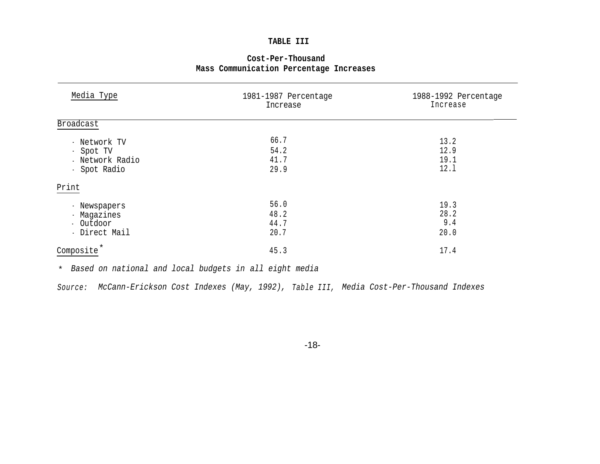## **TABLE III**

| Cost-Per-Thousand |                                         |  |  |  |  |  |
|-------------------|-----------------------------------------|--|--|--|--|--|
|                   | Mass Communication Percentage Increases |  |  |  |  |  |

| Media Type                                                   | 1981-1987 Percentage<br>Increase | 1988-1992 Percentage<br>Increase |
|--------------------------------------------------------------|----------------------------------|----------------------------------|
| Broadcast                                                    |                                  |                                  |
| - Network TV<br>- Spot TV<br>- Network Radio<br>- Spot Radio | 66.7<br>54.2<br>41.7<br>29.9     | 13.2<br>12.9<br>19.1<br>12.1     |
| Print                                                        |                                  |                                  |
| - Newspapers<br>- Magazines<br>- Outdoor<br>- Direct Mail    | 56.0<br>48.2<br>44.7<br>20.7     | 19.3<br>28.2<br>9.4<br>20.0      |
| Composite                                                    | 45.3                             | 17.4                             |

*Based on national and local budgets in all eight media* \*

*Source: McCann-Erickson Cost Indexes (May, 1992), Table III, Media Cost-Per-Thousand Indexes*

-18-